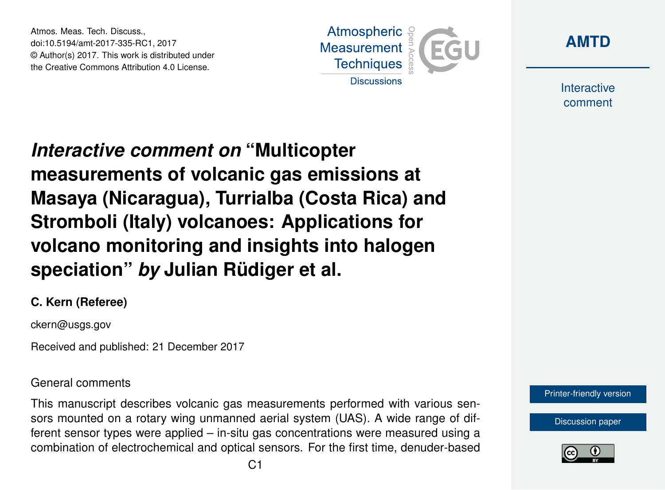Atmos. Meas. Tech. Discuss., doi:10.5194/amt-2017-335-RC1, 2017 © Author(s) 2017. This work is distributed under the Creative Commons Attribution 4.0 License.





Interactive comment

*Interactive comment on* **"Multicopter measurements of volcanic gas emissions at Masaya (Nicaragua), Turrialba (Costa Rica) and Stromboli (Italy) volcanoes: Applications for volcano monitoring and insights into halogen speciation"** *by* **Julian Rüdiger et al.**

### **C. Kern (Referee)**

ckern@usgs.gov

Received and published: 21 December 2017

#### General comments

This manuscript describes volcanic gas measurements performed with various sensors mounted on a rotary wing unmanned aerial system (UAS). A wide range of different sensor types were applied – in-situ gas concentrations were measured using a combination of electrochemical and optical sensors. For the first time, denuder-based



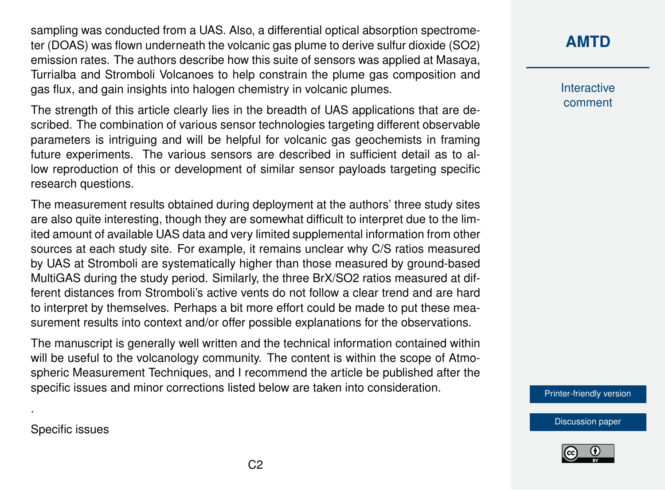sampling was conducted from a UAS. Also, a differential optical absorption spectrometer (DOAS) was flown underneath the volcanic gas plume to derive sulfur dioxide (SO2) emission rates. The authors describe how this suite of sensors was applied at Masaya, Turrialba and Stromboli Volcanoes to help constrain the plume gas composition and gas flux, and gain insights into halogen chemistry in volcanic plumes.

The strength of this article clearly lies in the breadth of UAS applications that are described. The combination of various sensor technologies targeting different observable parameters is intriguing and will be helpful for volcanic gas geochemists in framing future experiments. The various sensors are described in sufficient detail as to allow reproduction of this or development of similar sensor payloads targeting specific research questions.

The measurement results obtained during deployment at the authors' three study sites are also quite interesting, though they are somewhat difficult to interpret due to the limited amount of available UAS data and very limited supplemental information from other sources at each study site. For example, it remains unclear why C/S ratios measured by UAS at Stromboli are systematically higher than those measured by ground-based MultiGAS during the study period. Similarly, the three BrX/SO2 ratios measured at different distances from Stromboli's active vents do not follow a clear trend and are hard to interpret by themselves. Perhaps a bit more effort could be made to put these measurement results into context and/or offer possible explanations for the observations.

The manuscript is generally well written and the technical information contained within will be useful to the volcanology community. The content is within the scope of Atmospheric Measurement Techniques, and I recommend the article be published after the specific issues and minor corrections listed below are taken into consideration.

**[AMTD](https://www.atmos-meas-tech-discuss.net/)**

Interactive comment

[Printer-friendly version](https://www.atmos-meas-tech-discuss.net/amt-2017-335/amt-2017-335-RC1-print.pdf)

[Discussion paper](https://www.atmos-meas-tech-discuss.net/amt-2017-335)



Specific issues

.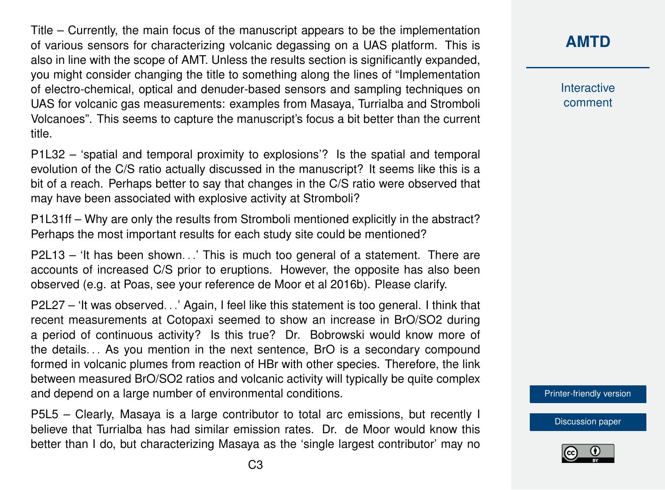Title – Currently, the main focus of the manuscript appears to be the implementation of various sensors for characterizing volcanic degassing on a UAS platform. This is also in line with the scope of AMT. Unless the results section is significantly expanded, you might consider changing the title to something along the lines of "Implementation of electro-chemical, optical and denuder-based sensors and sampling techniques on UAS for volcanic gas measurements: examples from Masaya, Turrialba and Stromboli Volcanoes". This seems to capture the manuscript's focus a bit better than the current title.

P1L32 – 'spatial and temporal proximity to explosions'? Is the spatial and temporal evolution of the C/S ratio actually discussed in the manuscript? It seems like this is a bit of a reach. Perhaps better to say that changes in the C/S ratio were observed that may have been associated with explosive activity at Stromboli?

P1L31ff – Why are only the results from Stromboli mentioned explicitly in the abstract? Perhaps the most important results for each study site could be mentioned?

P2L13 – 'It has been shown...' This is much too general of a statement. There are accounts of increased C/S prior to eruptions. However, the opposite has also been observed (e.g. at Poas, see your reference de Moor et al 2016b). Please clarify.

P2L27 – 'It was observed. . .' Again, I feel like this statement is too general. I think that recent measurements at Cotopaxi seemed to show an increase in BrO/SO2 during a period of continuous activity? Is this true? Dr. Bobrowski would know more of the details. . . As you mention in the next sentence, BrO is a secondary compound formed in volcanic plumes from reaction of HBr with other species. Therefore, the link between measured BrO/SO2 ratios and volcanic activity will typically be quite complex and depend on a large number of environmental conditions.

P5L5 – Clearly, Masaya is a large contributor to total arc emissions, but recently I believe that Turrialba has had similar emission rates. Dr. de Moor would know this better than I do, but characterizing Masaya as the 'single largest contributor' may no

### **[AMTD](https://www.atmos-meas-tech-discuss.net/)**

Interactive comment

[Printer-friendly version](https://www.atmos-meas-tech-discuss.net/amt-2017-335/amt-2017-335-RC1-print.pdf)

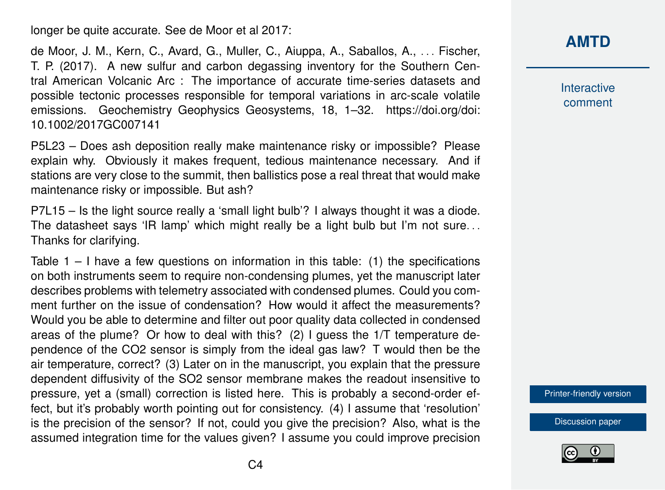longer be quite accurate. See de Moor et al 2017:

de Moor, J. M., Kern, C., Avard, G., Muller, C., Aiuppa, A., Saballos, A., . . . Fischer, T. P. (2017). A new sulfur and carbon degassing inventory for the Southern Central American Volcanic Arc : The importance of accurate time-series datasets and possible tectonic processes responsible for temporal variations in arc-scale volatile emissions. Geochemistry Geophysics Geosystems, 18, 1–32. https://doi.org/doi: 10.1002/2017GC007141

P5L23 – Does ash deposition really make maintenance risky or impossible? Please explain why. Obviously it makes frequent, tedious maintenance necessary. And if stations are very close to the summit, then ballistics pose a real threat that would make maintenance risky or impossible. But ash?

P7L15 – Is the light source really a 'small light bulb'? I always thought it was a diode. The datasheet says 'IR lamp' which might really be a light bulb but I'm not sure. . . Thanks for clarifying.

Table  $1 - I$  have a few questions on information in this table: (1) the specifications on both instruments seem to require non-condensing plumes, yet the manuscript later describes problems with telemetry associated with condensed plumes. Could you comment further on the issue of condensation? How would it affect the measurements? Would you be able to determine and filter out poor quality data collected in condensed areas of the plume? Or how to deal with this? (2) I guess the 1/T temperature dependence of the CO2 sensor is simply from the ideal gas law? T would then be the air temperature, correct? (3) Later on in the manuscript, you explain that the pressure dependent diffusivity of the SO2 sensor membrane makes the readout insensitive to pressure, yet a (small) correction is listed here. This is probably a second-order effect, but it's probably worth pointing out for consistency. (4) I assume that 'resolution' is the precision of the sensor? If not, could you give the precision? Also, what is the assumed integration time for the values given? I assume you could improve precision **[AMTD](https://www.atmos-meas-tech-discuss.net/)**

Interactive comment

[Printer-friendly version](https://www.atmos-meas-tech-discuss.net/amt-2017-335/amt-2017-335-RC1-print.pdf)

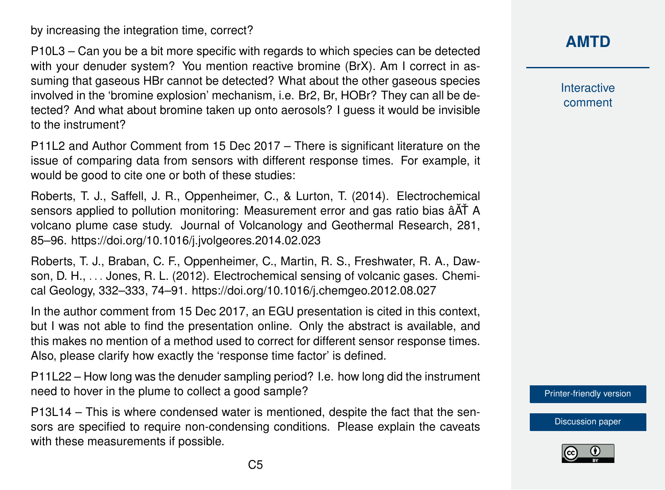by increasing the integration time, correct?

P10L3 – Can you be a bit more specific with regards to which species can be detected with your denuder system? You mention reactive bromine (BrX). Am I correct in assuming that gaseous HBr cannot be detected? What about the other gaseous species involved in the 'bromine explosion' mechanism, i.e. Br2, Br, HOBr? They can all be detected? And what about bromine taken up onto aerosols? I guess it would be invisible to the instrument?

P11L2 and Author Comment from 15 Dec 2017 – There is significant literature on the issue of comparing data from sensors with different response times. For example, it would be good to cite one or both of these studies:

Roberts, T. J., Saffell, J. R., Oppenheimer, C., & Lurton, T. (2014). Electrochemical sensors applied to pollution monitoring: Measurement error and gas ratio bias  $\hat{A}$ <sup> $\check{A}$ </sup> A volcano plume case study. Journal of Volcanology and Geothermal Research, 281, 85–96. https://doi.org/10.1016/j.jvolgeores.2014.02.023

Roberts, T. J., Braban, C. F., Oppenheimer, C., Martin, R. S., Freshwater, R. A., Dawson, D. H., . . . Jones, R. L. (2012). Electrochemical sensing of volcanic gases. Chemical Geology, 332–333, 74–91. https://doi.org/10.1016/j.chemgeo.2012.08.027

In the author comment from 15 Dec 2017, an EGU presentation is cited in this context, but I was not able to find the presentation online. Only the abstract is available, and this makes no mention of a method used to correct for different sensor response times. Also, please clarify how exactly the 'response time factor' is defined.

P11L22 – How long was the denuder sampling period? I.e. how long did the instrument need to hover in the plume to collect a good sample?

P13L14 – This is where condensed water is mentioned, despite the fact that the sensors are specified to require non-condensing conditions. Please explain the caveats with these measurements if possible.

**[AMTD](https://www.atmos-meas-tech-discuss.net/)**

Interactive comment

[Printer-friendly version](https://www.atmos-meas-tech-discuss.net/amt-2017-335/amt-2017-335-RC1-print.pdf)

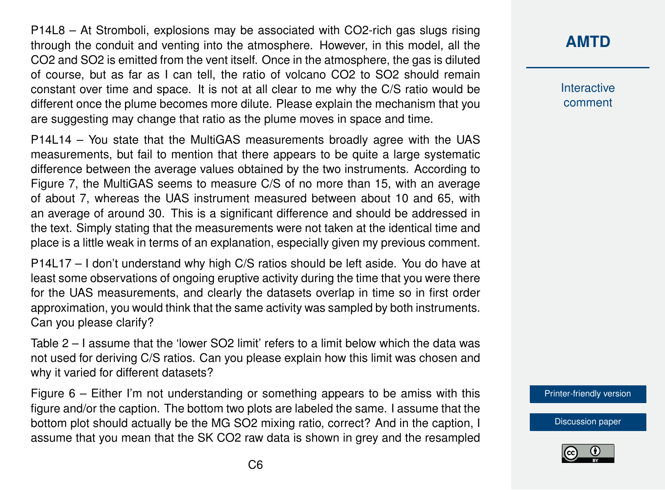P14L8 – At Stromboli, explosions may be associated with CO2-rich gas slugs rising through the conduit and venting into the atmosphere. However, in this model, all the CO2 and SO2 is emitted from the vent itself. Once in the atmosphere, the gas is diluted of course, but as far as I can tell, the ratio of volcano CO2 to SO2 should remain constant over time and space. It is not at all clear to me why the C/S ratio would be different once the plume becomes more dilute. Please explain the mechanism that you are suggesting may change that ratio as the plume moves in space and time.

P14L14 – You state that the MultiGAS measurements broadly agree with the UAS measurements, but fail to mention that there appears to be quite a large systematic difference between the average values obtained by the two instruments. According to Figure 7, the MultiGAS seems to measure C/S of no more than 15, with an average of about 7, whereas the UAS instrument measured between about 10 and 65, with an average of around 30. This is a significant difference and should be addressed in the text. Simply stating that the measurements were not taken at the identical time and place is a little weak in terms of an explanation, especially given my previous comment.

P14L17 – I don't understand why high C/S ratios should be left aside. You do have at least some observations of ongoing eruptive activity during the time that you were there for the UAS measurements, and clearly the datasets overlap in time so in first order approximation, you would think that the same activity was sampled by both instruments. Can you please clarify?

Table 2 – I assume that the 'lower SO2 limit' refers to a limit below which the data was not used for deriving C/S ratios. Can you please explain how this limit was chosen and why it varied for different datasets?

Figure  $6 -$  Either I'm not understanding or something appears to be amiss with this figure and/or the caption. The bottom two plots are labeled the same. I assume that the bottom plot should actually be the MG SO2 mixing ratio, correct? And in the caption, I assume that you mean that the SK CO2 raw data is shown in grey and the resampled

# **[AMTD](https://www.atmos-meas-tech-discuss.net/)**

Interactive comment

[Printer-friendly version](https://www.atmos-meas-tech-discuss.net/amt-2017-335/amt-2017-335-RC1-print.pdf)

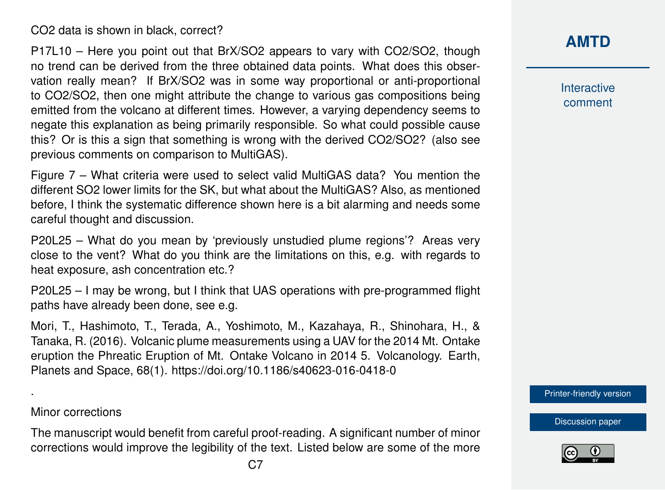CO2 data is shown in black, correct?

P17L10 – Here you point out that BrX/SO2 appears to vary with CO2/SO2, though no trend can be derived from the three obtained data points. What does this observation really mean? If BrX/SO2 was in some way proportional or anti-proportional to CO2/SO2, then one might attribute the change to various gas compositions being emitted from the volcano at different times. However, a varying dependency seems to negate this explanation as being primarily responsible. So what could possible cause this? Or is this a sign that something is wrong with the derived CO2/SO2? (also see previous comments on comparison to MultiGAS).

Figure 7 – What criteria were used to select valid MultiGAS data? You mention the different SO2 lower limits for the SK, but what about the MultiGAS? Also, as mentioned before, I think the systematic difference shown here is a bit alarming and needs some careful thought and discussion.

P20L25 – What do you mean by 'previously unstudied plume regions'? Areas very close to the vent? What do you think are the limitations on this, e.g. with regards to heat exposure, ash concentration etc.?

P20L25 – I may be wrong, but I think that UAS operations with pre-programmed flight paths have already been done, see e.g.

Mori, T., Hashimoto, T., Terada, A., Yoshimoto, M., Kazahaya, R., Shinohara, H., & Tanaka, R. (2016). Volcanic plume measurements using a UAV for the 2014 Mt. Ontake eruption the Phreatic Eruption of Mt. Ontake Volcano in 2014 5. Volcanology. Earth, Planets and Space, 68(1). https://doi.org/10.1186/s40623-016-0418-0

#### Minor corrections

.

The manuscript would benefit from careful proof-reading. A significant number of minor corrections would improve the legibility of the text. Listed below are some of the more

## **[AMTD](https://www.atmos-meas-tech-discuss.net/)**

Interactive comment

[Printer-friendly version](https://www.atmos-meas-tech-discuss.net/amt-2017-335/amt-2017-335-RC1-print.pdf)

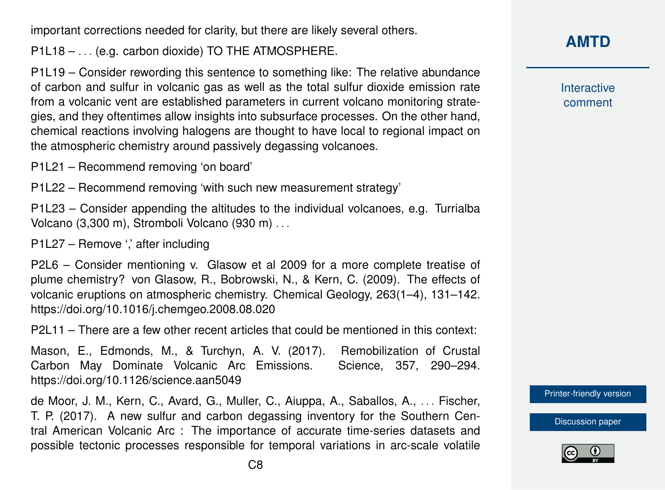important corrections needed for clarity, but there are likely several others.

P1L18 – ... (e.g. carbon dioxide) TO THE ATMOSPHERE.

P1L19 – Consider rewording this sentence to something like: The relative abundance of carbon and sulfur in volcanic gas as well as the total sulfur dioxide emission rate from a volcanic vent are established parameters in current volcano monitoring strategies, and they oftentimes allow insights into subsurface processes. On the other hand, chemical reactions involving halogens are thought to have local to regional impact on the atmospheric chemistry around passively degassing volcanoes.

P1L21 – Recommend removing 'on board'

P1L22 – Recommend removing 'with such new measurement strategy'

P1L23 – Consider appending the altitudes to the individual volcanoes, e.g. Turrialba Volcano (3,300 m), Stromboli Volcano (930 m) . . .

P1L27 – Remove ',' after including

P2L6 – Consider mentioning v. Glasow et al 2009 for a more complete treatise of plume chemistry? von Glasow, R., Bobrowski, N., & Kern, C. (2009). The effects of volcanic eruptions on atmospheric chemistry. Chemical Geology, 263(1–4), 131–142. https://doi.org/10.1016/j.chemgeo.2008.08.020

P2L11 – There are a few other recent articles that could be mentioned in this context:

Mason, E., Edmonds, M., & Turchyn, A. V. (2017). Remobilization of Crustal Carbon May Dominate Volcanic Arc Emissions. Science, 357, 290–294. https://doi.org/10.1126/science.aan5049

de Moor, J. M., Kern, C., Avard, G., Muller, C., Aiuppa, A., Saballos, A., ... Fischer, T. P. (2017). A new sulfur and carbon degassing inventory for the Southern Central American Volcanic Arc : The importance of accurate time-series datasets and possible tectonic processes responsible for temporal variations in arc-scale volatile **[AMTD](https://www.atmos-meas-tech-discuss.net/)**

Interactive comment

[Printer-friendly version](https://www.atmos-meas-tech-discuss.net/amt-2017-335/amt-2017-335-RC1-print.pdf)

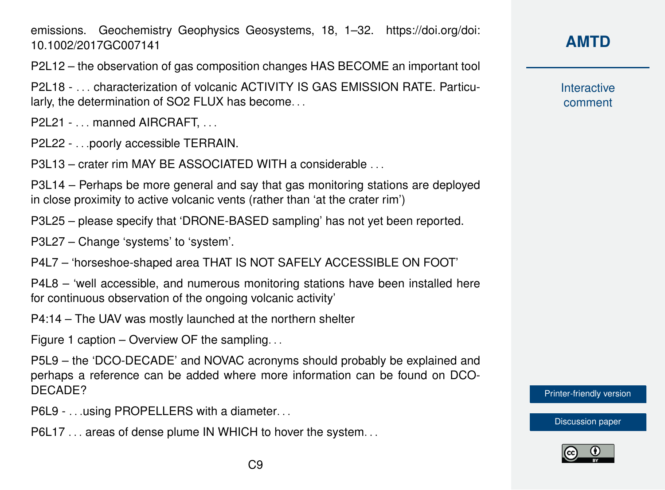emissions. Geochemistry Geophysics Geosystems, 18, 1–32. https://doi.org/doi: 10.1002/2017GC007141

P2L12 – the observation of gas composition changes HAS BECOME an important tool

P2L18 - . . . characterization of volcanic ACTIVITY IS GAS EMISSION RATE. Particularly, the determination of SO2 FLUX has become. . .

P2L21 - . . . manned AIRCRAFT, . . .

P2L22 - . . .poorly accessible TERRAIN.

P3L13 – crater rim MAY BE ASSOCIATED WITH a considerable . . .

P3L14 – Perhaps be more general and say that gas monitoring stations are deployed in close proximity to active volcanic vents (rather than 'at the crater rim')

P3L25 – please specify that 'DRONE-BASED sampling' has not yet been reported.

P3L27 – Change 'systems' to 'system'.

P4L7 – 'horseshoe-shaped area THAT IS NOT SAFELY ACCESSIBLE ON FOOT'

P4L8 – 'well accessible, and numerous monitoring stations have been installed here for continuous observation of the ongoing volcanic activity'

P4:14 – The UAV was mostly launched at the northern shelter

Figure 1 caption – Overview OF the sampling. . .

P5L9 – the 'DCO-DECADE' and NOVAC acronyms should probably be explained and perhaps a reference can be added where more information can be found on DCO-DECADE?

P6L9 - . . . using PROPELLERS with a diameter. . .

P6L17 ... areas of dense plume IN WHICH to hover the system...

### **[AMTD](https://www.atmos-meas-tech-discuss.net/)**

Interactive comment

[Printer-friendly version](https://www.atmos-meas-tech-discuss.net/amt-2017-335/amt-2017-335-RC1-print.pdf)

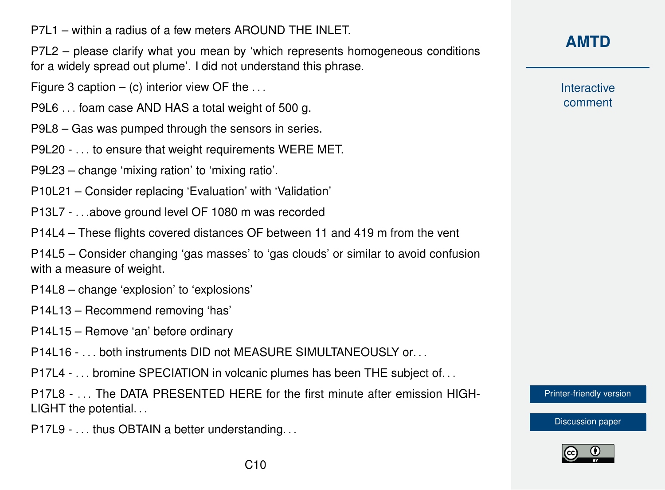P7L1 – within a radius of a few meters AROUND THE INLET.

P7L2 – please clarify what you mean by 'which represents homogeneous conditions for a widely spread out plume'. I did not understand this phrase.

- Figure 3 caption  $-$  (c) interior view OF the  $\dots$
- P9L6 . . . foam case AND HAS a total weight of 500 g.
- P9L8 Gas was pumped through the sensors in series.
- P9L20 . . . to ensure that weight requirements WERE MET.
- P9L23 change 'mixing ration' to 'mixing ratio'.
- P10L21 Consider replacing 'Evaluation' with 'Validation'
- P13L7 . . .above ground level OF 1080 m was recorded
- P14L4 These flights covered distances OF between 11 and 419 m from the vent

P14L5 – Consider changing 'gas masses' to 'gas clouds' or similar to avoid confusion with a measure of weight.

P14L8 – change 'explosion' to 'explosions'

- P14L13 Recommend removing 'has'
- P14L15 Remove 'an' before ordinary
- P14L16 . . . both instruments DID not MEASURE SIMULTANEOUSLY or. . .
- P17L4 . . . bromine SPECIATION in volcanic plumes has been THE subject of. . .
- P17L8 . . . The DATA PRESENTED HERE for the first minute after emission HIGH-LIGHT the potential...
- P17L9 . . . thus OBTAIN a better understanding. . .

### **[AMTD](https://www.atmos-meas-tech-discuss.net/)**

**Interactive** comment

[Printer-friendly version](https://www.atmos-meas-tech-discuss.net/amt-2017-335/amt-2017-335-RC1-print.pdf)